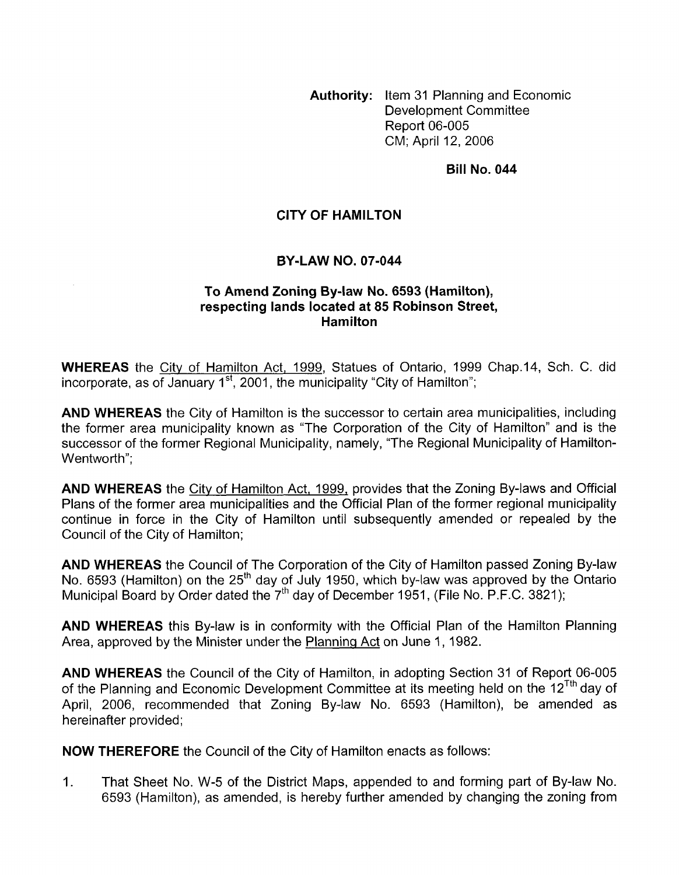**Authority:** Item 31 Planning and Economic Development Committee Report 06-005 CM; April 12, 2006

**Bill No. 044** 

## **CITY OF HAMILTON**

## **BY-LAW NO. 07-044**

## **To Amend Zoning By-law No. 6593 (Hamilton), respecting lands located at 85 Robinson Street, Hamilton**

**WHEREAS** the City of Hamilton Act, 1999, Statues of Ontario, 1999 Chap.14, Sch. C. did incorporate, as of January  $1<sup>st</sup>$ , 2001, the municipality "City of Hamilton";

**AND WHEREAS** the City of Hamilton is the successor to certain area municipalities, including the former area municipality known as "The Corporation of the City of Hamilton" and is the successor of the former Regional Municipality, namely, "The Regional Municipality of Hamilton-Wentworth";

**AND WHEREAS** the City of Hamilton Act, 1999, provides that the Zoning By-laws and Official Plans of the former area municipalities and the Official Plan of the former regional municipality continue in force in the City of Hamilton until subsequently amended or repealed by the Council of the City of Hamilton;

**AND WHEREAS** the Council of The Corporation of the City of Hamilton passed Zoning By-law No. 6593 (Hamilton) on the 25<sup>th</sup> day of July 1950, which by-law was approved by the Ontario Municipal Board by Order dated the  $7<sup>th</sup>$  day of December 1951, (File No. P.F.C. 3821);

**AND WHEREAS** this By-law is in conformity with the Official Plan of the Hamilton Planning Area, approved by the Minister under the Planning Act on June 1, 1982.

**AND WHEREAS** the Council of the City of Hamilton, in adopting Section 31 of Report 06-005 of the Planning and Economic Development Committee at its meeting held on the 12<sup>Tth</sup> day of April, 2006, recommended that Zoning By-law No. 6593 (Hamilton), be amended as hereinafter provided;

**NOW THEREFORE** the Council of the City of Hamilton enacts as follows:

1. That Sheet No. W-5 of the District Maps, appended to and forming part of By-law No. 6593 (Hamilton), as amended, is hereby further amended by changing the zoning from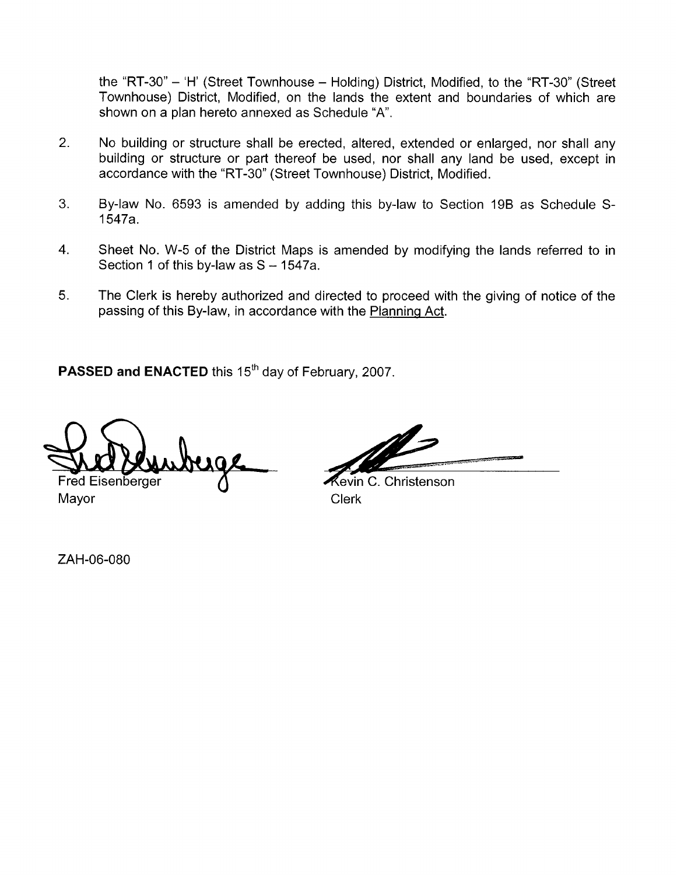the "RT-30" - 'H' (Street Townhouse - Holding) District, Modified, to the "RT-30" (Street Townhouse) District, Modified, on the lands the extent and boundaries of which are shown on a plan hereto annexed as Schedule "A".

- 2. No building or structure shall be erected, altered, extended or enlarged, nor shall any building or structure or part thereof be used, nor shall any land be used, except in accordance with the "RT-30" (Street Townhouse) District, Modified.
- 3. By-law No. 6593 is amended by adding this by-law to Section 19B as Schedule S-1547a.
- 4. Sheet No. W-5 of the District Maps is amended by modifying the lands referred to in Section 1 of this by-law as  $S - 1547a$ .
- 5. The Clerk is hereby authorized and directed to proceed with the giving of notice of the passing of this By-law, in accordance with the Planning Act.

PASSED and ENACTED this 15<sup>th</sup> day of February, 2007.

Fred Eisenberger

Mayor Clerk

₹evin C. Christenson

ZAH-06-080